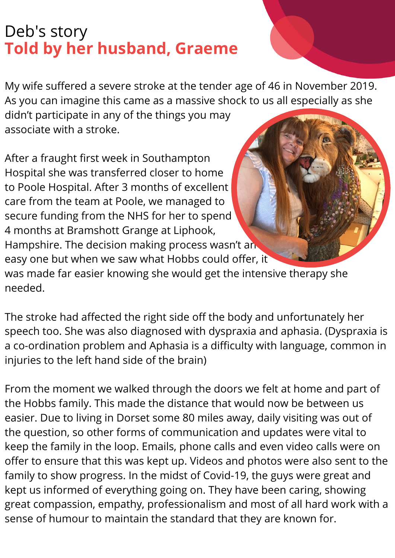## Deb's story **Told by her husband, Graeme**

My wife suffered a severe stroke at the tender age of 46 in November 2019. As you can imagine this came as a massive shock to us all especially as she didn't participate in any of the things you may associate with a stroke.

After a fraught first week in Southampton Hospital she was transferred closer to home to Poole Hospital. After 3 months of excellent care from the team at Poole, we managed to secure funding from the NHS for her to spend 4 months at Bramshott Grange at Liphook, Hampshire. The decision making process wasn't an easy one but when we saw what Hobbs could offer, it was made far easier knowing she would get the intensive therapy she needed.

The stroke had affected the right side off the body and unfortunately her speech too. She was also diagnosed with dyspraxia and aphasia. (Dyspraxia is a co-ordination problem and Aphasia is a difficulty with language, common in injuries to the left hand side of the brain)

From the moment we walked through the doors we felt at home and part of the Hobbs family. This made the distance that would now be between us easier. Due to living in Dorset some 80 miles away, daily visiting was out of the question, so other forms of communication and updates were vital to keep the family in the loop. Emails, phone calls and even video calls were on offer to ensure that this was kept up. Videos and photos were also sent to the family to show progress. In the midst of Covid-19, the guys were great and kept us informed of everything going on. They have been caring, showing great compassion, empathy, professionalism and most of all hard work with a sense of humour to maintain the standard that they are known for.